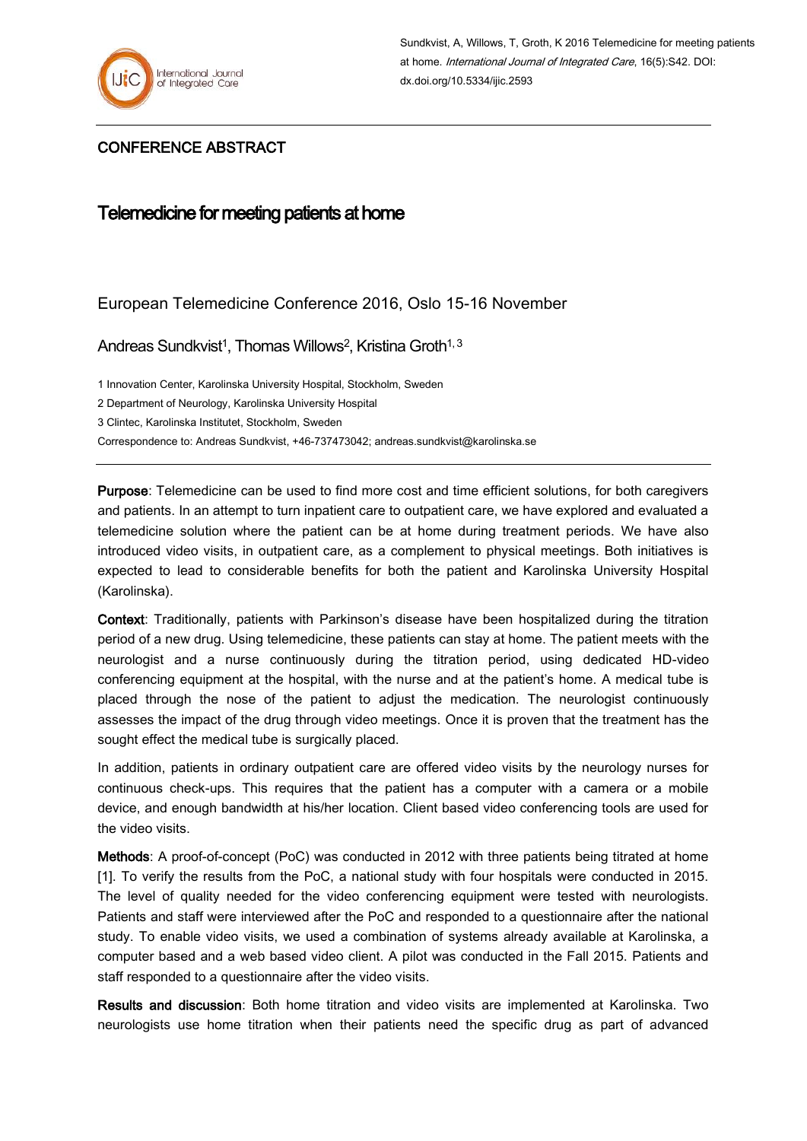

## CONFERENCE ABSTRACT

## Telemedicine for meeting patients at home

## European Telemedicine Conference 2016, Oslo 15-16 November

Andreas Sundkvist<sup>1</sup>, Thomas Willows<sup>2</sup>, Kristina Groth<sup>1, 3</sup>

1 Innovation Center, Karolinska University Hospital, Stockholm, Sweden

2 Department of Neurology, Karolinska University Hospital

3 Clintec, Karolinska Institutet, Stockholm, Sweden

Correspondence to: Andreas Sundkvist, +46-737473042; andreas.sundkvist@karolinska.se

Purpose: Telemedicine can be used to find more cost and time efficient solutions, for both caregivers and patients. In an attempt to turn inpatient care to outpatient care, we have explored and evaluated a telemedicine solution where the patient can be at home during treatment periods. We have also introduced video visits, in outpatient care, as a complement to physical meetings. Both initiatives is expected to lead to considerable benefits for both the patient and Karolinska University Hospital (Karolinska).

Context: Traditionally, patients with Parkinson's disease have been hospitalized during the titration period of a new drug. Using telemedicine, these patients can stay at home. The patient meets with the neurologist and a nurse continuously during the titration period, using dedicated HD-video conferencing equipment at the hospital, with the nurse and at the patient's home. A medical tube is placed through the nose of the patient to adjust the medication. The neurologist continuously assesses the impact of the drug through video meetings. Once it is proven that the treatment has the sought effect the medical tube is surgically placed.

In addition, patients in ordinary outpatient care are offered video visits by the neurology nurses for continuous check-ups. This requires that the patient has a computer with a camera or a mobile device, and enough bandwidth at his/her location. Client based video conferencing tools are used for the video visits.

Methods: A proof-of-concept (PoC) was conducted in 2012 with three patients being titrated at home [1]. To verify the results from the PoC, a national study with four hospitals were conducted in 2015. The level of quality needed for the video conferencing equipment were tested with neurologists. Patients and staff were interviewed after the PoC and responded to a questionnaire after the national study. To enable video visits, we used a combination of systems already available at Karolinska, a computer based and a web based video client. A pilot was conducted in the Fall 2015. Patients and staff responded to a questionnaire after the video visits.

Results and discussion: Both home titration and video visits are implemented at Karolinska. Two neurologists use home titration when their patients need the specific drug as part of advanced